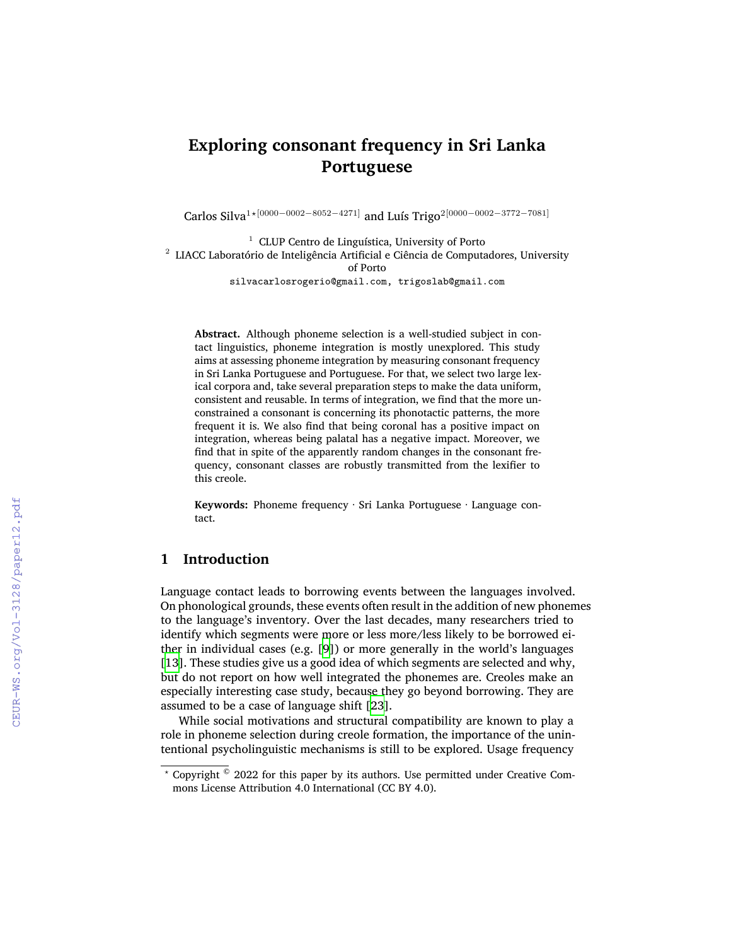# **Exploring consonant frequency in Sri Lanka Portuguese**

Carlos Silva1*⋆*[0000*−*0002*−*8052*−*4271] and Luís Trigo2[0000*−*0002*−*3772*−*7081]

 $^{\rm 1}$  CLUP Centro de Linguística, University of Porto  $^2$  LIACC Laboratório de Inteligência Artificial e Ciência de Computadores, University of Porto silvacarlosrogerio@gmail.com, trigoslab@gmail.com

**Abstract.** Although phoneme selection is a well-studied subject in contact linguistics, phoneme integration is mostly unexplored. This study aims at assessing phoneme integration by measuring consonant frequency in Sri Lanka Portuguese and Portuguese. For that, we select two large lexical corpora and, take several preparation steps to make the data uniform, consistent and reusable. In terms of integration, we find that the more unconstrained a consonant is concerning its phonotactic patterns, the more frequent it is. We also find that being coronal has a positive impact on integration, whereas being palatal has a negative impact. Moreover, we find that in spite of the apparently random changes in the consonant frequency, consonant classes are robustly transmitted from the lexifier to this creole.

**Keywords:** Phoneme frequency · Sri Lanka Portuguese · Language contact.

## **1 Introduction**

Language contact leads to borrowing events between the languages involved. On phonological grounds, these events often result in the addition of new phonemes to the language's inventory. Over the last decades, many researchers tried to identify which segments were more or less more/less likely to be borrowed either in individual cases (e.g. [\[9](#page--1-0)]) or more generally in the world's languages [[13\]](#page--1-1). These studies give us a good idea of which segments are selected and why, but do not report on how well integrated the phonemes are. Creoles make an especially interesting case study, because they go beyond borrowing. They are assumed to be a case of language shift[[23\]](#page--1-2).

While social motivations and structural compatibility are known to play a role in phoneme selection during creole formation, the importance of the unintentional psycholinguistic mechanisms is still to be explored. Usage frequency

*<sup>⋆</sup>* Copyright © 2022 for this paper by its authors. Use permitted under Creative Commons License Attribution 4.0 International (CC BY 4.0).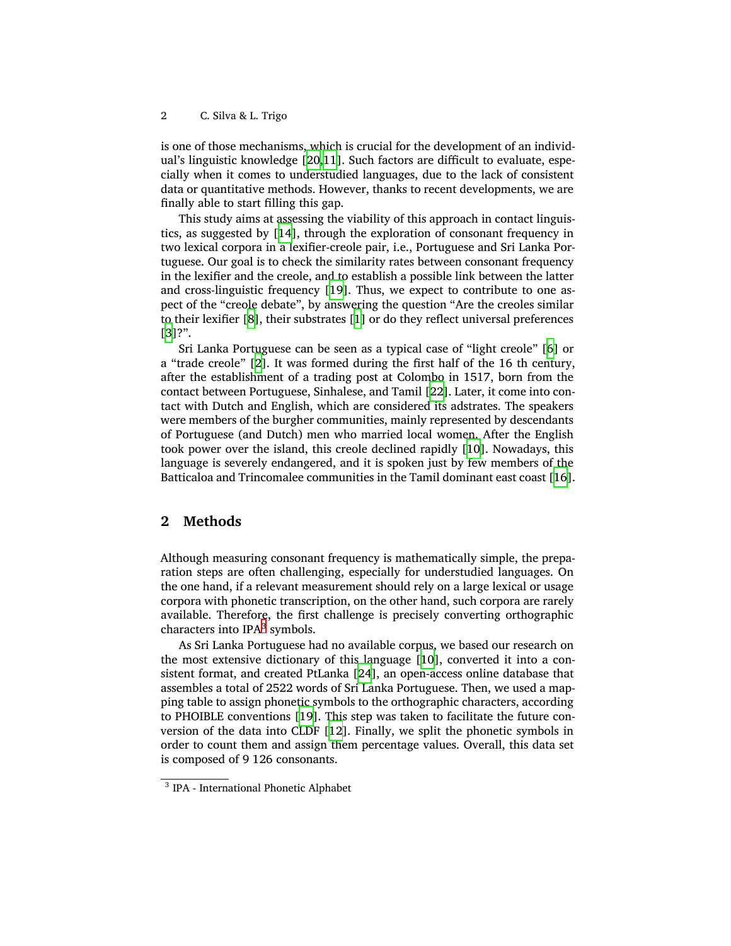is one of those mechanisms, which is crucial for the development of an individual's linguistic knowledge[[20](#page-5-0),[11](#page-4-0)]. Such factors are difficult to evaluate, especially when it comes to understudied languages, due to the lack of consistent data or quantitative methods. However, thanks to recent developments, we are finally able to start filling this gap.

This study aims at assessing the viability of this approach in contact linguistics, as suggested by [\[14](#page-5-1)], through the exploration of consonant frequency in two lexical corpora in a lexifier-creole pair, i.e., Portuguese and Sri Lanka Portuguese. Our goal is to check the similarity rates between consonant frequency in the lexifier and the creole, and to establish a possible link between the latter and cross-linguistic frequency [\[19](#page-5-2)]. Thus, we expect to contribute to one aspect of the "creole debate", by answering the question "Are the creoles similar to their lexifier[[8](#page-4-1)], their substrates[[1](#page-4-2)] or do they reflect universal preferences [[3](#page-4-3)]?".

Sri Lanka Portuguese can be seen as a typical case of "light creole" [\[6\]](#page-4-4) or a "trade creole"[[2](#page-4-5)]. It was formed during the first half of the 16 th century, after the establishment of a trading post at Colombo in 1517, born from the contact between Portuguese, Sinhalese, and Tamil [\[22\]](#page-5-3). Later, it come into contact with Dutch and English, which are considered its adstrates. The speakers were members of the burgher communities, mainly represented by descendants of Portuguese (and Dutch) men who married local women. After the English took power over the island, this creole declined rapidly [\[10](#page-4-6)]. Nowadays, this language is severely endangered, and it is spoken just by few members of the Batticaloa and Trincomalee communities in the Tamil dominant east coast [\[16](#page-5-4)].

## **2 Methods**

Although measuring consonant frequency is mathematically simple, the preparation steps are often challenging, especially for understudied languages. On the one hand, if a relevant measurement should rely on a large lexical or usage corpora with phonetic transcription, on the other hand, such corpora are rarely available. Therefore, the first challenge is precisely converting orthographic characters into IPA<sup>[3](#page-1-0)</sup> symbols.

As Sri Lanka Portuguese had no available corpus, we based our research on the most extensive dictionary of this language[[10\]](#page-4-6), converted it into a consistent format, and created PtLanka [\[24](#page-5-5)], an open-access online database that assembles a total of 2522 words of Sri Lanka Portuguese. Then, we used a mapping table to assign phonetic symbols to the orthographic characters, according to PHOIBLE conventions [\[19](#page-5-2)]. This step was taken to facilitate the future conversion of the data into CLDF[[12\]](#page-4-7). Finally, we split the phonetic symbols in order to count them and assign them percentage values. Overall, this data set is composed of 9 126 consonants.

<span id="page-1-0"></span><sup>3</sup> IPA - International Phonetic Alphabet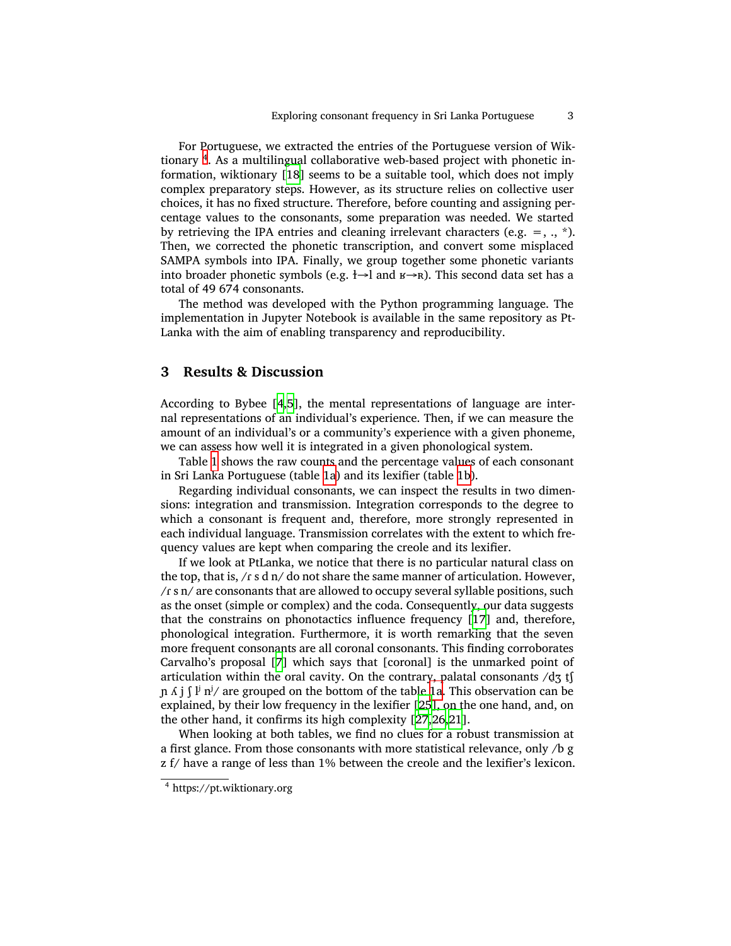For Portuguese, we extracted the entries of the Portuguese version of Wiktionary [4](#page-2-0) . As a multilingual collaborative web-based project with phonetic information, wiktionary[[18](#page-5-6)] seems to be a suitable tool, which does not imply complex preparatory steps. However, as its structure relies on collective user choices, it has no fixed structure. Therefore, before counting and assigning percentage values to the consonants, some preparation was needed. We started by retrieving the IPA entries and cleaning irrelevant characters (e.g.  $=$ , .,  $*$ ). Then, we corrected the phonetic transcription, and convert some misplaced SAMPA symbols into IPA. Finally, we group together some phonetic variants into broader phonetic symbols (e.g.  $\rightarrow$  and  $\rightarrow$   $\rightarrow$  R). This second data set has a total of 49 674 consonants.

The method was developed with the Python programming language. The implementation in Jupyter Notebook is available in the same repository as Pt-Lanka with the aim of enabling transparency and reproducibility.

### **3 Results & Discussion**

According to Bybee [\[4](#page-4-8)[,5](#page-4-9)], the mental representations of language are internal representations of an individual's experience. Then, if we can measure the amount of an individual's or a community's experience with a given phoneme, we can assess how well it is integrated in a given phonological system.

Table [1](#page-3-0) shows the raw counts and the percentage values of each consonant in Sri Lanka Portuguese (table [1a\)](#page-3-0) and its lexifier (table [1b](#page-3-0)).

Regarding individual consonants, we can inspect the results in two dimensions: integration and transmission. Integration corresponds to the degree to which a consonant is frequent and, therefore, more strongly represented in each individual language. Transmission correlates with the extent to which frequency values are kept when comparing the creole and its lexifier.

If we look at PtLanka, we notice that there is no particular natural class on the top, that is,  $/r \,$ s d n $/$  do not share the same manner of articulation. However, /ɾ s n/ are consonants that are allowed to occupy several syllable positions, such as the onset (simple or complex) and the coda. Consequently, our data suggests that the constrains on phonotactics influence frequency[[17](#page-5-7)] and, therefore, phonological integration. Furthermore, it is worth remarking that the seven more frequent consonants are all coronal consonants. This finding corroborates Carvalho's proposal [\[7\]](#page-4-10) which says that [coronal] is the unmarked point of articulation within the oral cavity. On the contrary, palatal consonants  $\frac{d}{d}$  tf  $\ln \Lambda$  j  $\int$  l<sup>j</sup> n<sup>j</sup>/ are grouped on the bottom of the table [1a.](#page-3-0) This observation can be explained, by their low frequency in the lexifier[[25\]](#page-5-8), on the one hand, and, on the other hand, it confirms its high complexity[[27](#page-5-9),[26](#page-5-10),[21](#page-5-11)].

When looking at both tables, we find no clues for a robust transmission at a first glance. From those consonants with more statistical relevance, only /b g z f/ have a range of less than 1% between the creole and the lexifier's lexicon.

<span id="page-2-0"></span><sup>4</sup> https://pt.wiktionary.org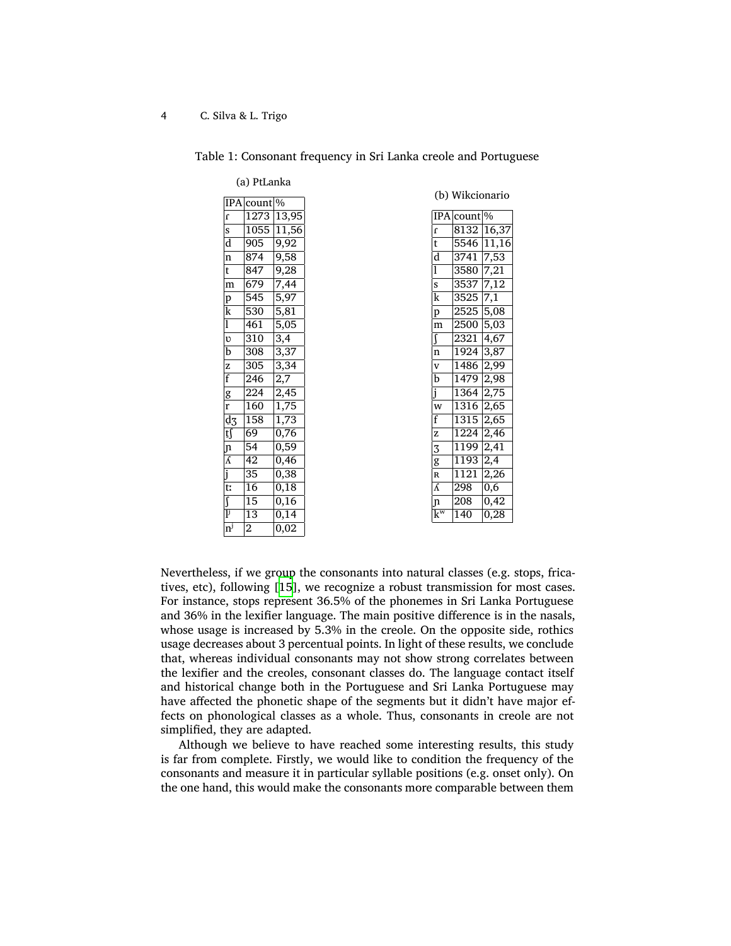#### <span id="page-3-0"></span>4 C. Silva & L. Trigo

Table 1: Consonant frequency in Sri Lanka creole and Portuguese

| <b>IPA</b>                           | count            | $\frac{1}{9}$      |
|--------------------------------------|------------------|--------------------|
| $\mathbf{r}$                         | 1273             | 13,95              |
| s                                    | 1055             | 11,56              |
| d                                    | 905              | 9,92               |
| $\overline{\mathbf{n}}$              | 874              | 9,58               |
| t                                    | 847              | 9,28               |
| m                                    | 679              | 7,44               |
| p                                    | 545              | 5,97               |
| k                                    | 530              | 5,81               |
| $\overline{1}$                       | 461              | $\overline{5,}05$  |
| $\upsilon$                           | 310              | 3,4                |
| $\overline{\mathbf{b}}$              | 308              | 3,37               |
| Z                                    | 305              | 3,34               |
| f                                    | 246              | 2,7                |
| g                                    | 224              | 2,45               |
| r                                    | 160              | 1,75               |
| d3                                   | $\overline{158}$ | $1,7\overline{3}$  |
| t∫                                   | 69               | 0,76               |
| ŋ                                    | 54               | 0,59               |
| $\bar{\Lambda}$                      | 42               | 0,46               |
| j                                    | 35               | 0,38               |
| t:                                   | 16               | 0,18               |
| $\overline{\int}$                    | 15               | 0,16               |
| $\overline{\mathbf{l}^{\mathbf{j}}}$ | 13               | $\overline{0,1}$ 4 |
| $\overline{n}^j$                     | $\overline{2}$   | $\overline{0,02}$  |

(a) PtLanka

(b) Wikcionario

|                                      | <b>IPA</b> count | $\frac{0}{0}$ |
|--------------------------------------|------------------|---------------|
| $\mathbf{r}$                         | 8132             | 16,37         |
| t                                    | 5546             | 11,16         |
| d                                    | 3741             | 7,53          |
| 1                                    | 3580             | 7,21          |
| $\mathbf S$                          | 3537             | 7,12          |
| k                                    | 3525             | 7,1           |
| p                                    | 2525             | 5,08          |
| m                                    | 2500             | 5,03          |
| ſ                                    | 2321             | 4,67          |
| n                                    | 1924             | 3,87          |
| $\mathbf{V}$                         | 1486             | 2,99          |
| $\overline{\mathbf{b}}$              | 1479             | 2,98          |
| $\overline{\mathbf{j}}$              | 1364             | 2,75          |
| W                                    | 1316             | 2,65          |
| f                                    | 1315             | 2,65          |
| z                                    | 1224             | 2,46          |
| $\sqrt{3}$                           | 1199             | 2,41          |
| g                                    | 1193             | 2,4           |
| ${\bf R}$                            | 1121             | 2,26          |
| Â                                    | 298              | 0,6           |
| $\mathbf n$                          | 208              | 0,42          |
| $\overline{\mathbf{k}^{\mathrm{w}}}$ | 140              | 0,28          |

Nevertheless, if we group the consonants into natural classes (e.g. stops, fricatives, etc), following[[15](#page-5-12)], we recognize a robust transmission for most cases. For instance, stops represent 36.5% of the phonemes in Sri Lanka Portuguese and 36% in the lexifier language. The main positive difference is in the nasals, whose usage is increased by 5.3% in the creole. On the opposite side, rothics usage decreases about 3 percentual points. In light of these results, we conclude that, whereas individual consonants may not show strong correlates between the lexifier and the creoles, consonant classes do. The language contact itself and historical change both in the Portuguese and Sri Lanka Portuguese may have affected the phonetic shape of the segments but it didn't have major effects on phonological classes as a whole. Thus, consonants in creole are not simplified, they are adapted.

Although we believe to have reached some interesting results, this study is far from complete. Firstly, we would like to condition the frequency of the consonants and measure it in particular syllable positions (e.g. onset only). On the one hand, this would make the consonants more comparable between them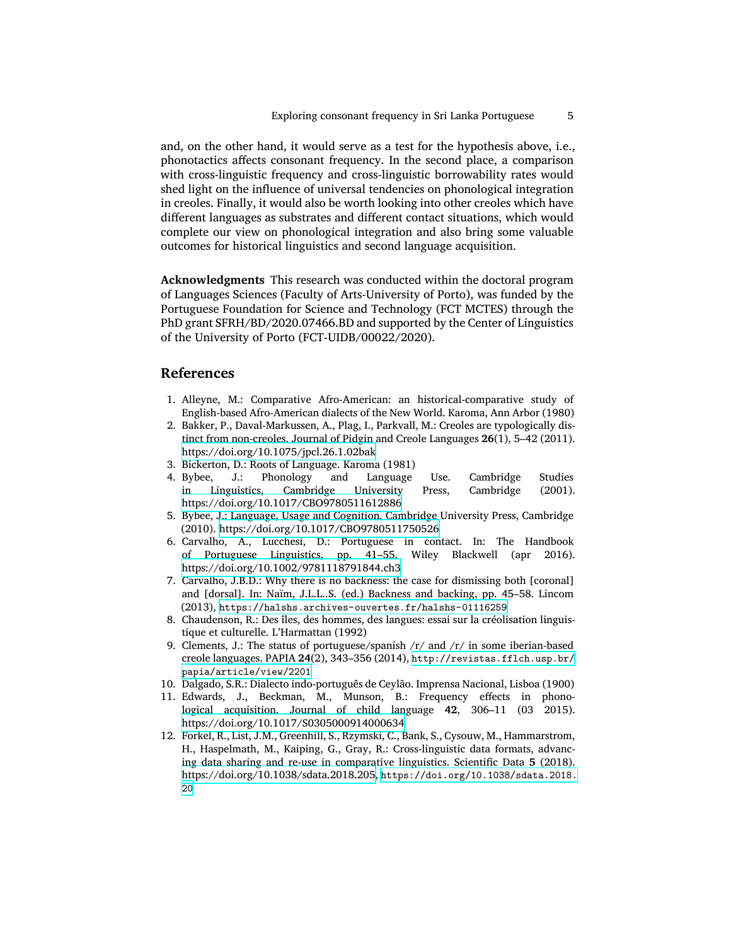and, on the other hand, it would serve as a test for the hypothesis above, i.e., phonotactics affects consonant frequency. In the second place, a comparison with cross-linguistic frequency and cross-linguistic borrowability rates would shed light on the influence of universal tendencies on phonological integration in creoles. Finally, it would also be worth looking into other creoles which have different languages as substrates and different contact situations, which would complete our view on phonological integration and also bring some valuable outcomes for historical linguistics and second language acquisition.

**Acknowledgments** This research was conducted within the doctoral program of Languages Sciences (Faculty of Arts-University of Porto), was funded by the Portuguese Foundation for Science and Technology (FCT MCTES) through the PhD grant SFRH/BD/2020.07466.BD and supported by the Center of Linguistics of the University of Porto (FCT-UIDB/00022/2020).

## **References**

- <span id="page-4-2"></span>1. Alleyne, M.: Comparative Afro-American: an historical-comparative study of English-based Afro-American dialects of the New World. Karoma, Ann Arbor (1980)
- <span id="page-4-5"></span>2. Bakker, P., Daval-Markussen, A., Plag, I., Parkvall, M.: Creoles are typologically distinct from non-creoles. Journal of Pidgin and Creole Languages **26**(1), 5–42 (2011). <https://doi.org/10.1075/jpcl.26.1.02bak>
- <span id="page-4-3"></span>3. Bickerton, D.: Roots of Language. Karoma (1981)
- <span id="page-4-8"></span>4. Bybee, J.: Phonology and Language Use. Cambridge Studies in Linguistics, Cambridge University Press, Cambridge (2001). <https://doi.org/10.1017/CBO9780511612886>
- <span id="page-4-9"></span>5. Bybee, J.: Language, Usage and Cognition. Cambridge University Press, Cambridge (2010). <https://doi.org/10.1017/CBO9780511750526>
- <span id="page-4-4"></span>6. Carvalho, A., Lucchesi, D.: Portuguese in contact. In: The Handbook of Portuguese Linguistics, pp. 41–55. Wiley Blackwell (apr 2016). <https://doi.org/10.1002/9781118791844.ch3>
- <span id="page-4-10"></span>7. Carvalho, J.B.D.: Why there is no backness: the case for dismissing both [coronal] and [dorsal]. In: Naïm, J.L.L..S. (ed.) Backness and backing, pp. 45–58. Lincom (2013), <https://halshs.archives-ouvertes.fr/halshs-01116259>
- <span id="page-4-1"></span>8. Chaudenson, R.: Des îles, des hommes, des langues: essai sur la créolisation linguistique et culturelle. L'Harmattan (1992)
- 9. Clements, J.: The status of portuguese/spanish /r/ and /r/ in some iberian-based creole languages. PAPIA **24**(2), 343–356 (2014), [http://revistas.fflch.usp.br/](http://revistas.fflch.usp.br/papia/article/view/2201) [papia/article/view/2201](http://revistas.fflch.usp.br/papia/article/view/2201)
- <span id="page-4-6"></span>10. Dalgado, S.R.: Dialecto indo-português de Ceylão. Imprensa Nacional, Lisboa (1900)
- <span id="page-4-0"></span>11. Edwards, J., Beckman, M., Munson, B.: Frequency effects in phonological acquisition. Journal of child language **42**, 306–11 (03 2015). <https://doi.org/10.1017/S0305000914000634>
- <span id="page-4-7"></span>12. Forkel, R., List, J.M., Greenhill, S., Rzymski, C., Bank, S., Cysouw, M., Hammarstrom, H., Haspelmath, M., Kaiping, G., Gray, R.: Cross-linguistic data formats, advancing data sharing and re-use in comparative linguistics. Scientific Data **5** (2018). <https://doi.org/10.1038/sdata.2018.205>, [https://doi.org/10.1038/sdata.2018.](https://doi.org/10.1038/sdata.2018.20) [20](https://doi.org/10.1038/sdata.2018.20)